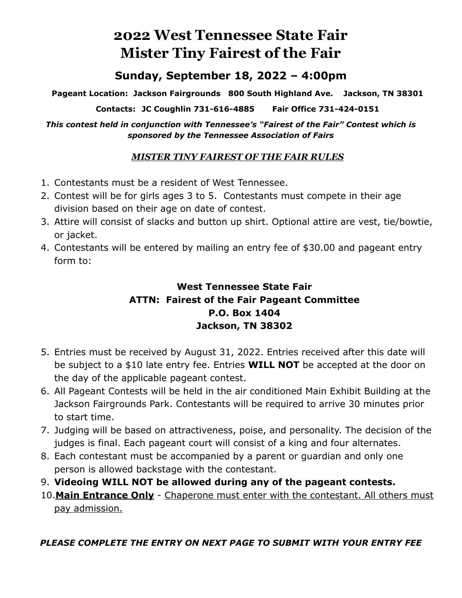## **2022 West Tennessee State Fair Mister Tiny Fairest of the Fair**

### **Sunday, September 18, 2022 – 4:00pm**

**Pageant Location: Jackson Fairgrounds 800 South Highland Ave. Jackson, TN 38301** 

**Contacts: JC Coughlin 731-616-4885 Fair Office 731-424-0151** 

*This contest held in conjunction with Tennessee's "Fairest of the Fair" Contest which is sponsored by the Tennessee Association of Fairs* 

#### *MISTER TINY FAIREST OF THE FAIR RULES*

- 1. Contestants must be a resident of West Tennessee.
- 2. Contest will be for girls ages 3 to 5. Contestants must compete in their age division based on their age on date of contest.
- 3. Attire will consist of slacks and button up shirt. Optional attire are vest, tie/bowtie, or jacket.
- 4. Contestants will be entered by mailing an entry fee of \$30.00 and pageant entry form to:

#### **West Tennessee State Fair ATTN: Fairest of the Fair Pageant Committee P.O. Box 1404 Jackson, TN 38302**

- 5. Entries must be received by August 31, 2022. Entries received after this date will be subject to a \$10 late entry fee. Entries **WILL NOT** be accepted at the door on the day of the applicable pageant contest.
- 6. All Pageant Contests will be held in the air conditioned Main Exhibit Building at the Jackson Fairgrounds Park. Contestants will be required to arrive 30 minutes prior to start time.
- 7. Judging will be based on attractiveness, poise, and personality. The decision of the judges is final. Each pageant court will consist of a king and four alternates.
- 8. Each contestant must be accompanied by a parent or guardian and only one person is allowed backstage with the contestant.
- 9. **Videoing WILL NOT be allowed during any of the pageant contests.**
- 10.**Main Entrance Only** Chaperone must enter with the contestant. All others must pay admission.

#### *PLEASE COMPLETE THE ENTRY ON NEXT PAGE TO SUBMIT WITH YOUR ENTRY FEE*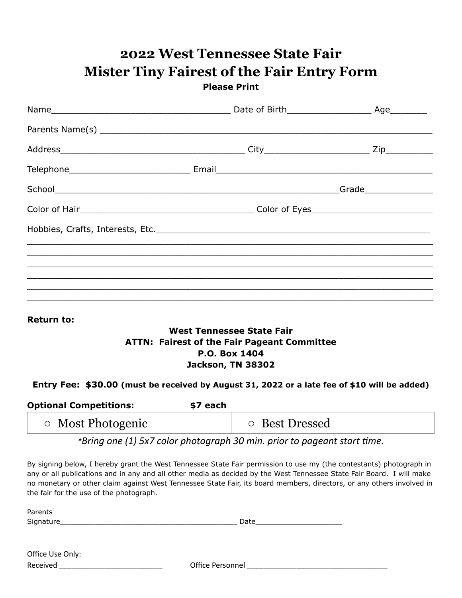| <b>Please Print</b> |  |  |  |  |
|---------------------|--|--|--|--|
|                     |  |  |  |  |
|                     |  |  |  |  |
|                     |  |  |  |  |
|                     |  |  |  |  |
|                     |  |  |  |  |
|                     |  |  |  |  |
|                     |  |  |  |  |
|                     |  |  |  |  |
|                     |  |  |  |  |
|                     |  |  |  |  |
|                     |  |  |  |  |

# **2022 West Tennessee State Fair Mister Tiny Fairest of the Fair Entry Form**

**Return to:** 

#### **West Tennessee State Fair ATTN: Fairest of the Fair Pageant Committee P.O. Box 1404 Jackson, TN 38302**

#### **Entry Fee: \$30.00 (must be received by August 31, 2022 or a late fee of \$10 will be added)**

| <b>Optional Competitions:</b><br>\$7 each |                |
|-------------------------------------------|----------------|
| $\circ$ Most Photogenic                   | ○ Best Dressed |

*\*Bring* one (1) 5x7 color photograph 30 min. prior to pageant start time.

By signing below, I hereby grant the West Tennessee State Fair permission to use my (the contestants) photograph in any or all publications and in any and all other media as decided by the West Tennessee State Fair Board. I will make no monetary or other claim against West Tennessee State Fair, its board members, directors, or any others involved in the fair for the use of the photograph.

| Parents          |      |  |
|------------------|------|--|
| Signature_       | Date |  |
|                  |      |  |
|                  |      |  |
| Office Use Only: |      |  |

Received **Exerceived Received CHEC Office Personnel**